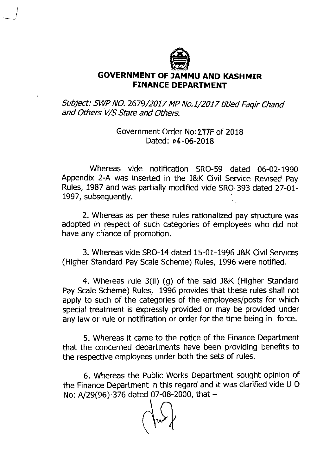

## **GOVERNMENT OF JAMMU AND KASHMIR FINANCE DEPARTMENT**

Subject: SWP NO. 2679/2017 MP No.1/2017 titfed Faqir Chand and Others V/S State and Others.

> Government Order No:277F of 2018 Dated: *04* -06-2018

Whereas vide notification SRO-59 dated 06-02-1990 Appendix 2-A was inserted in the **J&K** Civil Service Revised Pay Rules, 1987 and was partially modified vide SRO-393 dated 27-01- 1997, subsequently.

2. Whereas as per these rules rationalized pay structure was adopted in respect of such categories of employees who did not have any chance of promotion.

3. Whereas vide SRO-14 dated 15-01-1996 **J&K** Civil Services (Higher Standard Pay Scale Scheme) Rules, 1996 were notified.

4. Whereas rule 3(ii) (g) of the said **J&K** (Higher Standard Pay Scale Scheme) Rules, 1996 provides that these rules shall not apply to such of the categories of the employees/posts for which special treatment is expressly provided or may be provided under any law or rule or notification or order for the time being in force.

5. Whereas it came to the notice of the Finance Department that the concerned departments have been providing benefits to the respective employees under both the sets of rules.

6. Whereas the Public Works Department sought opinion of the Finance Department in this regard and it was clarified vide U 0 No: A/29(96)-376 dated 07-08-2000, that  $-$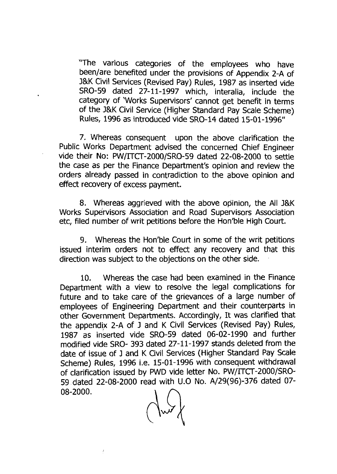'The various categories of the employees who have been/are benefited under the provisions of Appendix 2-A of J&K Civil Services (Revised Pay) Rules, 1987 as inserted vide SRO-59 dated 27-11-1997 which, interalia, include the category of 'Works Supervisors' cannot get benefit in terms of the J&K Civil Service (Higher Standard Pay Scale Scheme) Rules, 1996 as introduced vide SRO-14 dated 15-01-1996"

7. Whereas consequent upon the above clarification the Public Works Department advised the concerned Chief Engineer vide their No: PWITTCT-2000/SRO-59 dated 22-08-2000 to settle the case as per the Finance Department's opinion and review the orders already passed in contradiction to the above opinion and effect recovery of excess payment.

8. Whereas aggrieved with the above opinion, the All J&K Works Supervisors Association and Road Supervisors Association etc, filed number of writ petitions before the Hon'ble High Court.

9. Whereas the Hon'ble Court in some of the writ petitions issued interim orders not to effect any recovery and that this direction was subject to the objections on the other side.

10. Whereas the case had been examined in the Finance Department with a view to resolve the legal complications for future and to take care of the grievances of a large number of employees of Engineering Department and their counterparts in other Government Departments. Accordingly, It was clarified that the appendix 2-A of J and K Civil Services (Revised Pay) Rules, 1987 as inkerted vide SRO-59 dated 06-02-1990 and further modified vide SRO- 393 dated 27-11-1997 stands deleted from the date of issue of J and K Civil Services (Higher Standard Pay Scale Scheme) Rules, 1996 i.e. 15-01-1996 with consequent withdrawal of clarification issued by PWD vide letter No. PW/ITCT-2000/SRO-59 dated 22-08-2000 read with U.0 No. A/29(96)-376 dated 07- 08-2000.

 $\overline{\mathcal{E}}$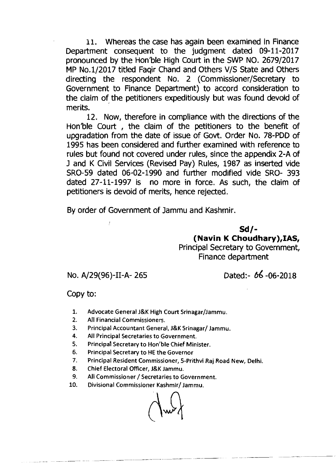11. Whereas the case has again been examined in Finance Department consequent to the judgment dated 09-11-2017 pronounced by the Hon'ble High Court in the SWP NO. 2679/2017 MP No.1/2017 titled Faqir Chand and Others V/S State and Others directing the respondent No. 2 (Commissioner/Secretary to Government to Finance Department) to accord consideration to the claim of the petitioners expeditiously but was found devoid of merits.

12. Now, therefore in compliance with the directions of the Hon'ble Court , the claim of the petitioners to the benefit of upgradation from the date of issue of Govt. Order No. 78-PDD of 1995 has been considered and further examined with reference to rules but found not covered under rules, since the appendix 2-A of J and K Civil Services (Revised Pay) Rules, 1987 as inserted vide SRO-59 dated 06-02-1990 and further modified vide SRO- 393 dated 27-11-1997 is no more in force. As such, the claim of petitioners is devoid of merits, hence rejected.

By order of Government of Jammu and Kashmir.

**Sd/- (Navin K Choudhary),IAS,**  Principal Secretary to Government, Finance department

No. A/29(96)-11-A- 265 Dated:- **66** -06-2018

Copy to:

- $1.$ Advocate General J&K High Court Srinagar/Jammu.
- $2.$ All Financial Commissioners.
- $\overline{\mathbf{3}}$ . Principal Accountant General, J&K Srinagar/ Jammu.
- 4. All Principal Secretaries to Government.
- 5. Principal Secretary to Hon'ble Chief Minister.
- 6. Principal Secretary to HE the Governor
- Principal Resident Commissioner, 5-Prithvi Raj Road New, Delhi.  $7.$
- Chief Electoral Officer, J&K Jammu. 8.
- $9<sub>1</sub>$ All Commissioner / Secretaries to Government.
- 10. Divisional Commissioner Kashmir/ Jammu.